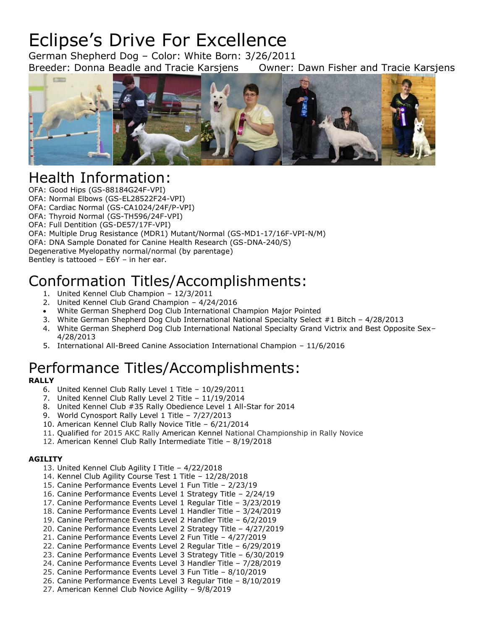# Eclipse's Drive For Excellence

German Shepherd Dog – Color: White Born: 3/26/2011 Breeder: Donna Beadle and Tracie Karsjens Owner: Dawn Fisher and Tracie Karsjens



## Health Information:

OFA: Good Hips (GS-88184G24F-VPI)

OFA: Normal Elbows (GS-EL28522F24-VPI)

OFA: Cardiac Normal (GS-CA1024/24F/P-VPI)

OFA: Thyroid Normal (GS-TH596/24F-VPI)

OFA: Full Dentition (GS-DE57/17F-VPI)

OFA: Multiple Drug Resistance (MDR1) Mutant/Normal (GS-MD1-17/16F-VPI-N/M)

OFA: DNA Sample Donated for Canine Health Research (GS-DNA-240/S)

Degenerative Myelopathy normal/normal (by parentage)

Bentley is tattooed – E6Y – in her ear.

## Conformation Titles/Accomplishments:

- 1. United Kennel Club Champion 12/3/2011
- 2. United Kennel Club Grand Champion 4/24/2016
- White German Shepherd Dog Club International Champion Major Pointed
- 3. White German Shepherd Dog Club International National Specialty Select #1 Bitch 4/28/2013
- 4. White German Shepherd Dog Club International National Specialty Grand Victrix and Best Opposite Sex– 4/28/2013
- 5. International All-Breed Canine Association International Champion 11/6/2016

## Performance Titles/Accomplishments:

## **RALLY**

- 6. United Kennel Club Rally Level 1 Title 10/29/2011
- 7. United Kennel Club Rally Level 2 Title 11/19/2014
- 8. United Kennel Club #35 Rally Obedience Level 1 All-Star for 2014
- 9. World Cynosport Rally Level 1 Title 7/27/2013
- 10. American Kennel Club Rally Novice Title 6/21/2014
- 11. Qualified for 2015 AKC Rally American Kennel National Championship in Rally Novice
- 12. American Kennel Club Rally Intermediate Title 8/19/2018

### **AGILITY**

- 13. United Kennel Club Agility I Title 4/22/2018
- 14. Kennel Club Agility Course Test 1 Title 12/28/2018
- 15. Canine Performance Events Level 1 Fun Title 2/23/19
- 16. Canine Performance Events Level 1 Strategy Title 2/24/19
- 17. Canine Performance Events Level 1 Regular Title 3/23/2019
- 18. Canine Performance Events Level 1 Handler Title 3/24/2019
- 19. Canine Performance Events Level 2 Handler Title 6/2/2019
- 20. Canine Performance Events Level 2 Strategy Title 4/27/2019
- 21. Canine Performance Events Level 2 Fun Title 4/27/2019
- 22. Canine Performance Events Level 2 Regular Title 6/29/2019
- 23. Canine Performance Events Level 3 Strategy Title 6/30/2019
- 24. Canine Performance Events Level 3 Handler Title 7/28/2019
- 25. Canine Performance Events Level 3 Fun Title 8/10/2019
- 26. Canine Performance Events Level 3 Regular Title 8/10/2019
- 27. American Kennel Club Novice Agility 9/8/2019